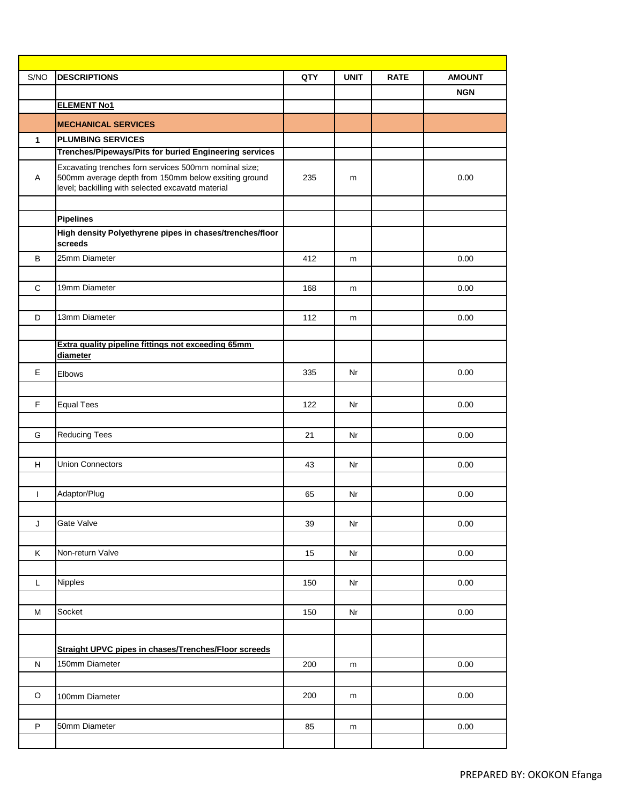| S/NO         | <b>DESCRIPTIONS</b>                                                                                                                                                | QTY | <b>UNIT</b> | <b>RATE</b> | <b>AMOUNT</b> |
|--------------|--------------------------------------------------------------------------------------------------------------------------------------------------------------------|-----|-------------|-------------|---------------|
|              |                                                                                                                                                                    |     |             |             | <b>NGN</b>    |
|              | <b>ELEMENT No1</b>                                                                                                                                                 |     |             |             |               |
|              | <b>MECHANICAL SERVICES</b>                                                                                                                                         |     |             |             |               |
| $\mathbf{1}$ | <b>PLUMBING SERVICES</b>                                                                                                                                           |     |             |             |               |
|              | Trenches/Pipeways/Pits for buried Engineering services                                                                                                             |     |             |             |               |
| Α            | Excavating trenches forn services 500mm nominal size;<br>500mm average depth from 150mm below exsiting ground<br>level; backilling with selected excavatd material | 235 | m           |             | 0.00          |
|              | <b>Pipelines</b>                                                                                                                                                   |     |             |             |               |
|              | High density Polyethyrene pipes in chases/trenches/floor<br>screeds                                                                                                |     |             |             |               |
| B            | 25mm Diameter                                                                                                                                                      | 412 | m           |             | 0.00          |
|              |                                                                                                                                                                    |     |             |             |               |
| $\mathsf{C}$ | 19mm Diameter                                                                                                                                                      | 168 | m           |             | 0.00          |
|              |                                                                                                                                                                    |     |             |             |               |
| D            | 13mm Diameter                                                                                                                                                      | 112 | m           |             | 0.00          |
|              |                                                                                                                                                                    |     |             |             |               |
|              | Extra quality pipeline fittings not exceeding 65mm<br>diameter                                                                                                     |     |             |             |               |
| $\mathsf E$  | Elbows                                                                                                                                                             | 335 | Nr          |             | 0.00          |
|              |                                                                                                                                                                    |     |             |             |               |
| $\mathsf F$  | <b>Equal Tees</b>                                                                                                                                                  | 122 | Nr          |             | 0.00          |
|              |                                                                                                                                                                    |     |             |             |               |
| G            | <b>Reducing Tees</b>                                                                                                                                               | 21  | Nr          |             | 0.00          |
|              |                                                                                                                                                                    |     |             |             |               |
| H            | <b>Union Connectors</b>                                                                                                                                            | 43  | Nr          |             | 0.00          |
|              |                                                                                                                                                                    |     |             |             |               |
| T            | Adaptor/Plug                                                                                                                                                       | 65  | Nr          |             | 0.00          |
|              |                                                                                                                                                                    |     |             |             |               |
| J            | Gate Valve                                                                                                                                                         | 39  | Nr          |             | 0.00          |
|              |                                                                                                                                                                    |     |             |             |               |
| Κ            | Non-return Valve                                                                                                                                                   | 15  | Nr          |             | 0.00          |
|              |                                                                                                                                                                    |     |             |             |               |
| L            | Nipples                                                                                                                                                            | 150 | Nr          |             | 0.00          |
|              |                                                                                                                                                                    |     |             |             |               |
| M            | Socket                                                                                                                                                             | 150 | Nr          |             | 0.00          |
|              |                                                                                                                                                                    |     |             |             |               |
|              | Straight UPVC pipes in chases/Trenches/Floor screeds                                                                                                               |     |             |             |               |
| ${\sf N}$    | 150mm Diameter                                                                                                                                                     | 200 | m           |             | 0.00          |
|              |                                                                                                                                                                    |     |             |             |               |
| $\mathsf O$  |                                                                                                                                                                    | 200 |             |             | 0.00          |
|              | 100mm Diameter                                                                                                                                                     |     | m           |             |               |
|              |                                                                                                                                                                    |     |             |             |               |
| P            | 50mm Diameter                                                                                                                                                      | 85  | m           |             | 0.00          |
|              |                                                                                                                                                                    |     |             |             |               |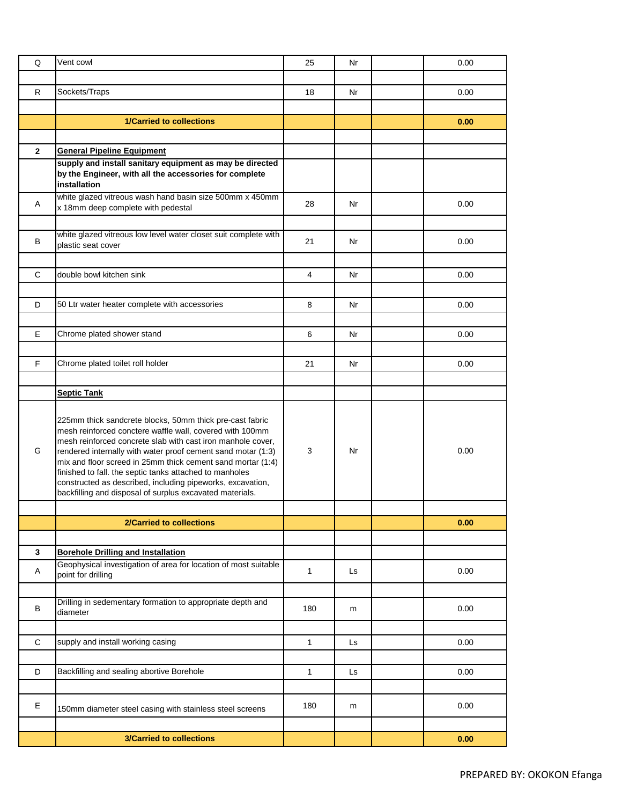| Q              | Vent cowl                                                                                                                                                                                                                                                                                                                                                                                                                                                                                               | 25           | Nr | 0.00 |
|----------------|---------------------------------------------------------------------------------------------------------------------------------------------------------------------------------------------------------------------------------------------------------------------------------------------------------------------------------------------------------------------------------------------------------------------------------------------------------------------------------------------------------|--------------|----|------|
|                |                                                                                                                                                                                                                                                                                                                                                                                                                                                                                                         |              |    |      |
| R              | Sockets/Traps                                                                                                                                                                                                                                                                                                                                                                                                                                                                                           | 18           | Nr | 0.00 |
|                |                                                                                                                                                                                                                                                                                                                                                                                                                                                                                                         |              |    |      |
|                | <b>1/Carried to collections</b>                                                                                                                                                                                                                                                                                                                                                                                                                                                                         |              |    | 0.00 |
| $\overline{2}$ |                                                                                                                                                                                                                                                                                                                                                                                                                                                                                                         |              |    |      |
|                | <b>General Pipeline Equipment</b><br>supply and install sanitary equipment as may be directed                                                                                                                                                                                                                                                                                                                                                                                                           |              |    |      |
|                | by the Engineer, with all the accessories for complete<br>installation                                                                                                                                                                                                                                                                                                                                                                                                                                  |              |    |      |
| Α              | white glazed vitreous wash hand basin size 500mm x 450mm<br>x 18mm deep complete with pedestal                                                                                                                                                                                                                                                                                                                                                                                                          | 28           | Nr | 0.00 |
|                | white glazed vitreous low level water closet suit complete with                                                                                                                                                                                                                                                                                                                                                                                                                                         |              |    |      |
| B              | plastic seat cover                                                                                                                                                                                                                                                                                                                                                                                                                                                                                      | 21           | Nr | 0.00 |
|                |                                                                                                                                                                                                                                                                                                                                                                                                                                                                                                         |              |    |      |
| C              | double bowl kitchen sink                                                                                                                                                                                                                                                                                                                                                                                                                                                                                | 4            | Nr | 0.00 |
|                |                                                                                                                                                                                                                                                                                                                                                                                                                                                                                                         |              |    |      |
| D              | 50 Ltr water heater complete with accessories                                                                                                                                                                                                                                                                                                                                                                                                                                                           | 8            | Nr | 0.00 |
|                |                                                                                                                                                                                                                                                                                                                                                                                                                                                                                                         |              |    |      |
| E              | Chrome plated shower stand                                                                                                                                                                                                                                                                                                                                                                                                                                                                              | 6            | Nr | 0.00 |
|                |                                                                                                                                                                                                                                                                                                                                                                                                                                                                                                         |              |    |      |
| F.             | Chrome plated toilet roll holder                                                                                                                                                                                                                                                                                                                                                                                                                                                                        | 21           | Nr | 0.00 |
|                | <b>Septic Tank</b>                                                                                                                                                                                                                                                                                                                                                                                                                                                                                      |              |    |      |
| G              | 225mm thick sandcrete blocks, 50mm thick pre-cast fabric<br>mesh reinforced conctere waffle wall, covered with 100mm<br>mesh reinforced concrete slab with cast iron manhole cover,<br>rendered internally with water proof cement sand motar (1:3)<br>mix and floor screed in 25mm thick cement sand mortar (1:4)<br>finished to fall. the septic tanks attached to manholes<br>constructed as described, including pipeworks, excavation,<br>backfilling and disposal of surplus excavated materials. | 3            | Nr | 0.00 |
|                |                                                                                                                                                                                                                                                                                                                                                                                                                                                                                                         |              |    |      |
|                | 2/Carried to collections                                                                                                                                                                                                                                                                                                                                                                                                                                                                                |              |    | 0.00 |
|                |                                                                                                                                                                                                                                                                                                                                                                                                                                                                                                         |              |    |      |
| 3              | <b>Borehole Drilling and Installation</b><br>Geophysical investigation of area for location of most suitable                                                                                                                                                                                                                                                                                                                                                                                            |              |    |      |
| A              | point for drilling                                                                                                                                                                                                                                                                                                                                                                                                                                                                                      | $\mathbf{1}$ | Ls | 0.00 |
|                |                                                                                                                                                                                                                                                                                                                                                                                                                                                                                                         |              |    |      |
| B              | Drilling in sedementary formation to appropriate depth and<br>diameter                                                                                                                                                                                                                                                                                                                                                                                                                                  | 180          | m  | 0.00 |
|                |                                                                                                                                                                                                                                                                                                                                                                                                                                                                                                         |              |    |      |
| $\mathbf C$    | supply and install working casing                                                                                                                                                                                                                                                                                                                                                                                                                                                                       | 1            | Ls | 0.00 |
| D              | Backfilling and sealing abortive Borehole                                                                                                                                                                                                                                                                                                                                                                                                                                                               | 1            | Ls | 0.00 |
|                |                                                                                                                                                                                                                                                                                                                                                                                                                                                                                                         |              |    |      |
| Е              | 150mm diameter steel casing with stainless steel screens                                                                                                                                                                                                                                                                                                                                                                                                                                                | 180          | m  | 0.00 |
|                |                                                                                                                                                                                                                                                                                                                                                                                                                                                                                                         |              |    |      |
|                | <b>3/Carried to collections</b>                                                                                                                                                                                                                                                                                                                                                                                                                                                                         |              |    | 0.00 |